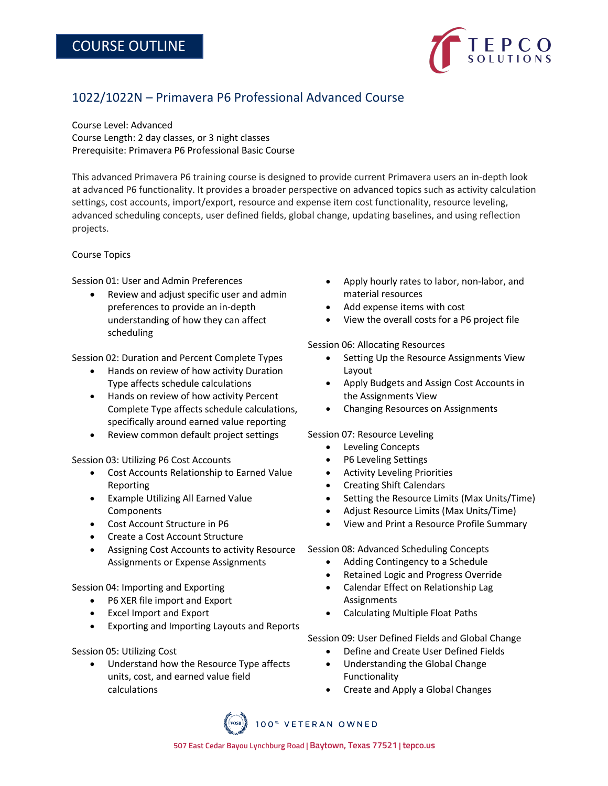

## 1022/1022N – Primavera P6 Professional Advanced Course

Course Level: Advanced Course Length: 2 day classes, or 3 night classes Prerequisite: Primavera P6 Professional Basic Course

This advanced Primavera P6 training course is designed to provide current Primavera users an in-depth look at advanced P6 functionality. It provides a broader perspective on advanced topics such as activity calculation settings, cost accounts, import/export, resource and expense item cost functionality, resource leveling, advanced scheduling concepts, user defined fields, global change, updating baselines, and using reflection projects.

## Course Topics

Session 01: User and Admin Preferences

• Review and adjust specific user and admin preferences to provide an in-depth understanding of how they can affect scheduling

Session 02: Duration and Percent Complete Types

- Hands on review of how activity Duration Type affects schedule calculations
- Hands on review of how activity Percent Complete Type affects schedule calculations, specifically around earned value reporting
- Review common default project settings

Session 03: Utilizing P6 Cost Accounts

- Cost Accounts Relationship to Earned Value Reporting
- Example Utilizing All Earned Value **Components**
- Cost Account Structure in P6
- Create a Cost Account Structure
- Assigning Cost Accounts to activity Resource Assignments or Expense Assignments

Session 04: Importing and Exporting

- P6 XER file import and Export
- Excel Import and Export
- Exporting and Importing Layouts and Reports

Session 05: Utilizing Cost

• Understand how the Resource Type affects units, cost, and earned value field calculations

- Apply hourly rates to labor, non-labor, and material resources
- Add expense items with cost
- View the overall costs for a P6 project file

Session 06: Allocating Resources

- Setting Up the Resource Assignments View Layout
- Apply Budgets and Assign Cost Accounts in the Assignments View
- Changing Resources on Assignments

Session 07: Resource Leveling

- Leveling Concepts
- P6 Leveling Settings
- Activity Leveling Priorities
- Creating Shift Calendars
- Setting the Resource Limits (Max Units/Time)
- Adjust Resource Limits (Max Units/Time)
- View and Print a Resource Profile Summary

Session 08: Advanced Scheduling Concepts

- Adding Contingency to a Schedule
- Retained Logic and Progress Override
- Calendar Effect on Relationship Lag Assignments
- Calculating Multiple Float Paths

Session 09: User Defined Fields and Global Change

- Define and Create User Defined Fields
- Understanding the Global Change Functionality
- Create and Apply a Global Changes

100% VETERAN OWNED